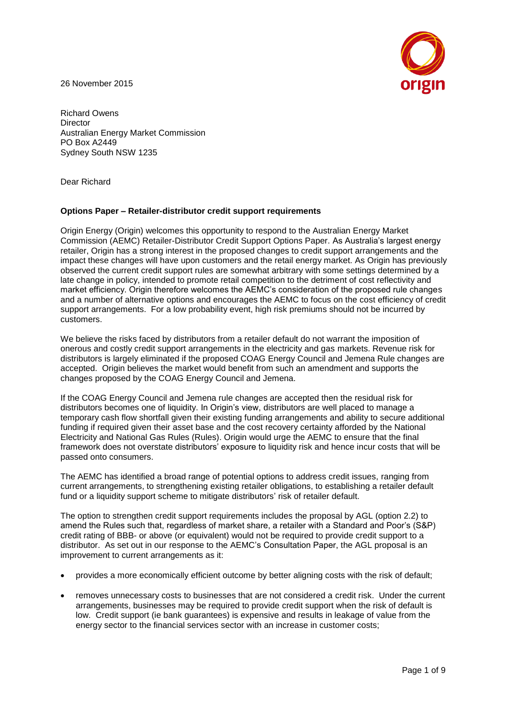26 November 2015



Richard Owens **Director** Australian Energy Market Commission PO Box A2449 Sydney South NSW 1235

Dear Richard

### **Options Paper – Retailer-distributor credit support requirements**

Origin Energy (Origin) welcomes this opportunity to respond to the Australian Energy Market Commission (AEMC) Retailer-Distributor Credit Support Options Paper. As Australia's largest energy retailer, Origin has a strong interest in the proposed changes to credit support arrangements and the impact these changes will have upon customers and the retail energy market. As Origin has previously observed the current credit support rules are somewhat arbitrary with some settings determined by a late change in policy, intended to promote retail competition to the detriment of cost reflectivity and market efficiency. Origin therefore welcomes the AEMC's consideration of the proposed rule changes and a number of alternative options and encourages the AEMC to focus on the cost efficiency of credit support arrangements. For a low probability event, high risk premiums should not be incurred by customers.

We believe the risks faced by distributors from a retailer default do not warrant the imposition of onerous and costly credit support arrangements in the electricity and gas markets. Revenue risk for distributors is largely eliminated if the proposed COAG Energy Council and Jemena Rule changes are accepted. Origin believes the market would benefit from such an amendment and supports the changes proposed by the COAG Energy Council and Jemena.

If the COAG Energy Council and Jemena rule changes are accepted then the residual risk for distributors becomes one of liquidity. In Origin's view, distributors are well placed to manage a temporary cash flow shortfall given their existing funding arrangements and ability to secure additional funding if required given their asset base and the cost recovery certainty afforded by the National Electricity and National Gas Rules (Rules). Origin would urge the AEMC to ensure that the final framework does not overstate distributors' exposure to liquidity risk and hence incur costs that will be passed onto consumers.

The AEMC has identified a broad range of potential options to address credit issues, ranging from current arrangements, to strengthening existing retailer obligations, to establishing a retailer default fund or a liquidity support scheme to mitigate distributors' risk of retailer default.

The option to strengthen credit support requirements includes the proposal by AGL (option 2.2) to amend the Rules such that, regardless of market share, a retailer with a Standard and Poor's (S&P) credit rating of BBB- or above (or equivalent) would not be required to provide credit support to a distributor. As set out in our response to the AEMC's Consultation Paper, the AGL proposal is an improvement to current arrangements as it:

- provides a more economically efficient outcome by better aligning costs with the risk of default;
- removes unnecessary costs to businesses that are not considered a credit risk. Under the current arrangements, businesses may be required to provide credit support when the risk of default is low. Credit support (ie bank guarantees) is expensive and results in leakage of value from the energy sector to the financial services sector with an increase in customer costs;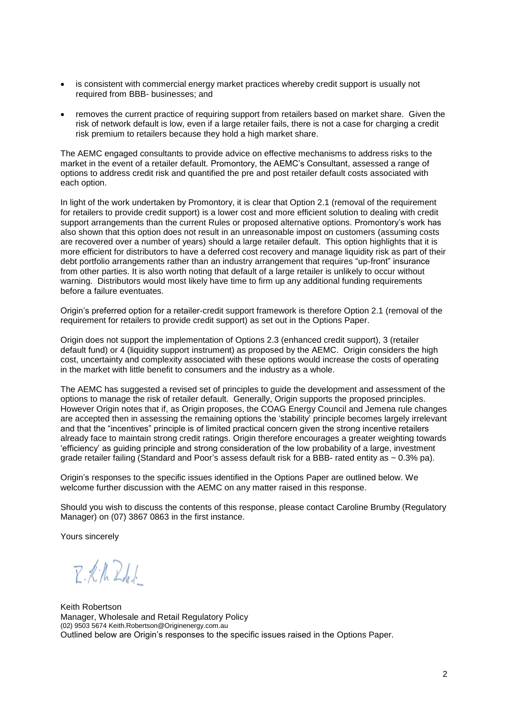- is consistent with commercial energy market practices whereby credit support is usually not required from BBB- businesses; and
- removes the current practice of requiring support from retailers based on market share. Given the risk of network default is low, even if a large retailer fails, there is not a case for charging a credit risk premium to retailers because they hold a high market share.

The AEMC engaged consultants to provide advice on effective mechanisms to address risks to the market in the event of a retailer default. Promontory, the AEMC's Consultant, assessed a range of options to address credit risk and quantified the pre and post retailer default costs associated with each option.

In light of the work undertaken by Promontory, it is clear that Option 2.1 (removal of the requirement for retailers to provide credit support) is a lower cost and more efficient solution to dealing with credit support arrangements than the current Rules or proposed alternative options. Promontory's work has also shown that this option does not result in an unreasonable impost on customers (assuming costs are recovered over a number of years) should a large retailer default. This option highlights that it is more efficient for distributors to have a deferred cost recovery and manage liquidity risk as part of their debt portfolio arrangements rather than an industry arrangement that requires "up-front" insurance from other parties. It is also worth noting that default of a large retailer is unlikely to occur without warning. Distributors would most likely have time to firm up any additional funding requirements before a failure eventuates.

Origin's preferred option for a retailer-credit support framework is therefore Option 2.1 (removal of the requirement for retailers to provide credit support) as set out in the Options Paper.

Origin does not support the implementation of Options 2.3 (enhanced credit support), 3 (retailer default fund) or 4 (liquidity support instrument) as proposed by the AEMC. Origin considers the high cost, uncertainty and complexity associated with these options would increase the costs of operating in the market with little benefit to consumers and the industry as a whole.

The AEMC has suggested a revised set of principles to guide the development and assessment of the options to manage the risk of retailer default. Generally, Origin supports the proposed principles. However Origin notes that if, as Origin proposes, the COAG Energy Council and Jemena rule changes are accepted then in assessing the remaining options the 'stability' principle becomes largely irrelevant and that the "incentives" principle is of limited practical concern given the strong incentive retailers already face to maintain strong credit ratings. Origin therefore encourages a greater weighting towards 'efficiency' as guiding principle and strong consideration of the low probability of a large, investment grade retailer failing (Standard and Poor's assess default risk for a BBB- rated entity as  $\sim 0.3\%$  pa).

Origin's responses to the specific issues identified in the Options Paper are outlined below. We welcome further discussion with the AEMC on any matter raised in this response.

Should you wish to discuss the contents of this response, please contact Caroline Brumby (Regulatory Manager) on (07) 3867 0863 in the first instance.

Yours sincerely

 $R.16241$ 

Keith Robertson Manager, Wholesale and Retail Regulatory Policy (02) 9503 567[4 Keith.Robertson@Originenergy.com.au](mailto:Keith.Robertson@Originenergy.com.au) Outlined below are Origin's responses to the specific issues raised in the Options Paper.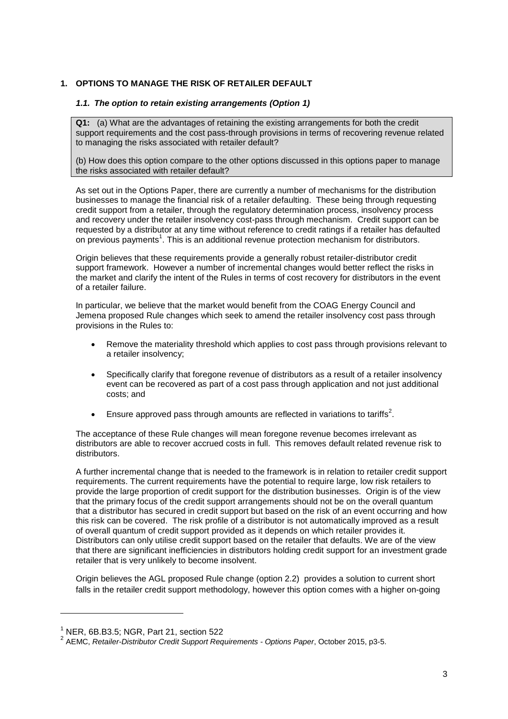# **1. OPTIONS TO MANAGE THE RISK OF RETAILER DEFAULT**

### *1.1. The option to retain existing arrangements (Option 1)*

**Q1:** (a) What are the advantages of retaining the existing arrangements for both the credit support requirements and the cost pass-through provisions in terms of recovering revenue related to managing the risks associated with retailer default?

(b) How does this option compare to the other options discussed in this options paper to manage the risks associated with retailer default?

As set out in the Options Paper, there are currently a number of mechanisms for the distribution businesses to manage the financial risk of a retailer defaulting. These being through requesting credit support from a retailer, through the regulatory determination process, insolvency process and recovery under the retailer insolvency cost-pass through mechanism. Credit support can be requested by a distributor at any time without reference to credit ratings if a retailer has defaulted on previous payments<sup>1</sup>. This is an additional revenue protection mechanism for distributors.

Origin believes that these requirements provide a generally robust retailer-distributor credit support framework. However a number of incremental changes would better reflect the risks in the market and clarify the intent of the Rules in terms of cost recovery for distributors in the event of a retailer failure.

In particular, we believe that the market would benefit from the COAG Energy Council and Jemena proposed Rule changes which seek to amend the retailer insolvency cost pass through provisions in the Rules to:

- Remove the materiality threshold which applies to cost pass through provisions relevant to a retailer insolvency;
- Specifically clarify that foregone revenue of distributors as a result of a retailer insolvency event can be recovered as part of a cost pass through application and not just additional costs; and
- **Ensure approved pass through amounts are reflected in variations to tariffs**<sup>2</sup>.

The acceptance of these Rule changes will mean foregone revenue becomes irrelevant as distributors are able to recover accrued costs in full. This removes default related revenue risk to distributors.

A further incremental change that is needed to the framework is in relation to retailer credit support requirements. The current requirements have the potential to require large, low risk retailers to provide the large proportion of credit support for the distribution businesses. Origin is of the view that the primary focus of the credit support arrangements should not be on the overall quantum that a distributor has secured in credit support but based on the risk of an event occurring and how this risk can be covered. The risk profile of a distributor is not automatically improved as a result of overall quantum of credit support provided as it depends on which retailer provides it. Distributors can only utilise credit support based on the retailer that defaults. We are of the view that there are significant inefficiencies in distributors holding credit support for an investment grade retailer that is very unlikely to become insolvent.

Origin believes the AGL proposed Rule change (option 2.2) provides a solution to current short falls in the retailer credit support methodology, however this option comes with a higher on-going

l

 $<sup>1</sup>$  NER, 6B, B3, 5; NGR, Part 21, section 522</sup>

<sup>2</sup> AEMC, *Retailer-Distributor Credit Support Requirements - Options Paper*, October 2015, p3-5.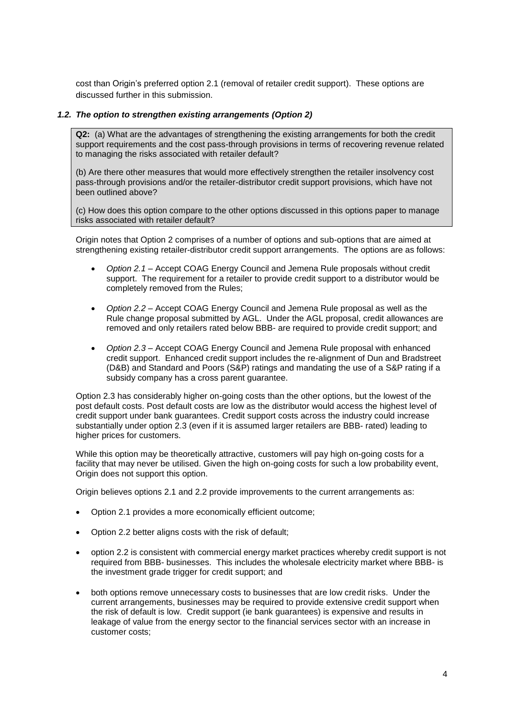cost than Origin's preferred option 2.1 (removal of retailer credit support). These options are discussed further in this submission.

## *1.2. The option to strengthen existing arrangements (Option 2)*

**Q2:** (a) What are the advantages of strengthening the existing arrangements for both the credit support requirements and the cost pass-through provisions in terms of recovering revenue related to managing the risks associated with retailer default?

(b) Are there other measures that would more effectively strengthen the retailer insolvency cost pass-through provisions and/or the retailer-distributor credit support provisions, which have not been outlined above?

(c) How does this option compare to the other options discussed in this options paper to manage risks associated with retailer default?

Origin notes that Option 2 comprises of a number of options and sub-options that are aimed at strengthening existing retailer-distributor credit support arrangements. The options are as follows:

- *Option 2.1* Accept COAG Energy Council and Jemena Rule proposals without credit support. The requirement for a retailer to provide credit support to a distributor would be completely removed from the Rules;
- *Option 2.2* Accept COAG Energy Council and Jemena Rule proposal as well as the Rule change proposal submitted by AGL. Under the AGL proposal, credit allowances are removed and only retailers rated below BBB- are required to provide credit support; and
- *Option 2.3* Accept COAG Energy Council and Jemena Rule proposal with enhanced credit support. Enhanced credit support includes the re-alignment of Dun and Bradstreet (D&B) and Standard and Poors (S&P) ratings and mandating the use of a S&P rating if a subsidy company has a cross parent guarantee.

Option 2.3 has considerably higher on-going costs than the other options, but the lowest of the post default costs. Post default costs are low as the distributor would access the highest level of credit support under bank guarantees. Credit support costs across the industry could increase substantially under option 2.3 (even if it is assumed larger retailers are BBB- rated) leading to higher prices for customers.

While this option may be theoretically attractive, customers will pay high on-going costs for a facility that may never be utilised. Given the high on-going costs for such a low probability event, Origin does not support this option.

Origin believes options 2.1 and 2.2 provide improvements to the current arrangements as:

- Option 2.1 provides a more economically efficient outcome;
- Option 2.2 better aligns costs with the risk of default;
- option 2.2 is consistent with commercial energy market practices whereby credit support is not required from BBB- businesses. This includes the wholesale electricity market where BBB- is the investment grade trigger for credit support; and
- both options remove unnecessary costs to businesses that are low credit risks. Under the current arrangements, businesses may be required to provide extensive credit support when the risk of default is low. Credit support (ie bank guarantees) is expensive and results in leakage of value from the energy sector to the financial services sector with an increase in customer costs;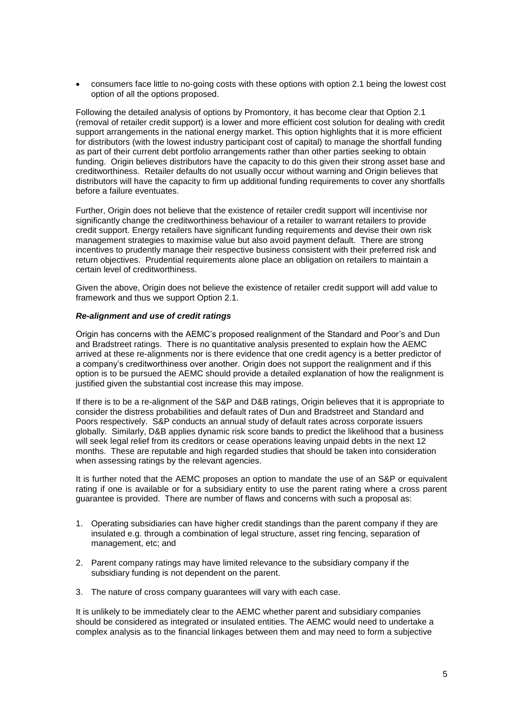consumers face little to no-going costs with these options with option 2.1 being the lowest cost option of all the options proposed.

Following the detailed analysis of options by Promontory, it has become clear that Option 2.1 (removal of retailer credit support) is a lower and more efficient cost solution for dealing with credit support arrangements in the national energy market. This option highlights that it is more efficient for distributors (with the lowest industry participant cost of capital) to manage the shortfall funding as part of their current debt portfolio arrangements rather than other parties seeking to obtain funding. Origin believes distributors have the capacity to do this given their strong asset base and creditworthiness. Retailer defaults do not usually occur without warning and Origin believes that distributors will have the capacity to firm up additional funding requirements to cover any shortfalls before a failure eventuates.

Further, Origin does not believe that the existence of retailer credit support will incentivise nor significantly change the creditworthiness behaviour of a retailer to warrant retailers to provide credit support. Energy retailers have significant funding requirements and devise their own risk management strategies to maximise value but also avoid payment default. There are strong incentives to prudently manage their respective business consistent with their preferred risk and return objectives. Prudential requirements alone place an obligation on retailers to maintain a certain level of creditworthiness.

Given the above, Origin does not believe the existence of retailer credit support will add value to framework and thus we support Option 2.1.

### *Re-alignment and use of credit ratings*

Origin has concerns with the AEMC's proposed realignment of the Standard and Poor's and Dun and Bradstreet ratings. There is no quantitative analysis presented to explain how the AEMC arrived at these re-alignments nor is there evidence that one credit agency is a better predictor of a company's creditworthiness over another. Origin does not support the realignment and if this option is to be pursued the AEMC should provide a detailed explanation of how the realignment is justified given the substantial cost increase this may impose.

If there is to be a re-alignment of the S&P and D&B ratings, Origin believes that it is appropriate to consider the distress probabilities and default rates of Dun and Bradstreet and Standard and Poors respectively. S&P conducts an annual study of default rates across corporate issuers globally. Similarly, D&B applies dynamic risk score bands to predict the likelihood that a business will seek legal relief from its creditors or cease operations leaving unpaid debts in the next 12 months. These are reputable and high regarded studies that should be taken into consideration when assessing ratings by the relevant agencies.

It is further noted that the AEMC proposes an option to mandate the use of an S&P or equivalent rating if one is available or for a subsidiary entity to use the parent rating where a cross parent guarantee is provided. There are number of flaws and concerns with such a proposal as:

- 1. Operating subsidiaries can have higher credit standings than the parent company if they are insulated e.g. through a combination of legal structure, asset ring fencing, separation of management, etc; and
- 2. Parent company ratings may have limited relevance to the subsidiary company if the subsidiary funding is not dependent on the parent.
- 3. The nature of cross company guarantees will vary with each case.

It is unlikely to be immediately clear to the AEMC whether parent and subsidiary companies should be considered as integrated or insulated entities. The AEMC would need to undertake a complex analysis as to the financial linkages between them and may need to form a subjective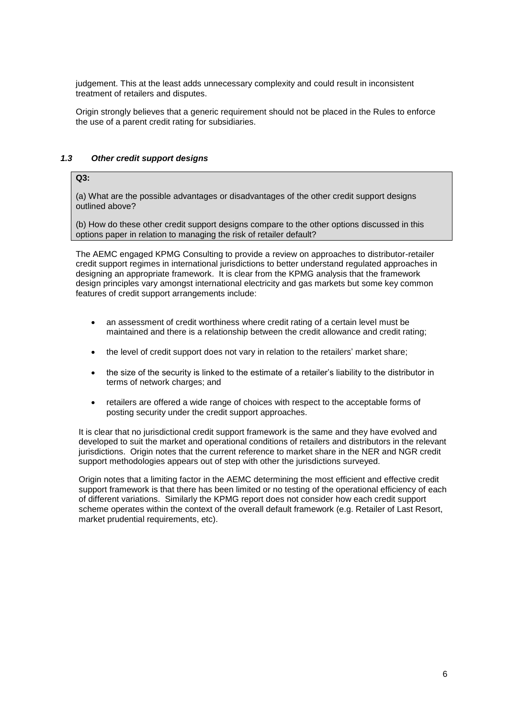judgement. This at the least adds unnecessary complexity and could result in inconsistent treatment of retailers and disputes.

Origin strongly believes that a generic requirement should not be placed in the Rules to enforce the use of a parent credit rating for subsidiaries.

## *1.3 Other credit support designs*

# **Q3:**

(a) What are the possible advantages or disadvantages of the other credit support designs outlined above?

(b) How do these other credit support designs compare to the other options discussed in this options paper in relation to managing the risk of retailer default?

The AEMC engaged KPMG Consulting to provide a review on approaches to distributor-retailer credit support regimes in international jurisdictions to better understand regulated approaches in designing an appropriate framework. It is clear from the KPMG analysis that the framework design principles vary amongst international electricity and gas markets but some key common features of credit support arrangements include:

- an assessment of credit worthiness where credit rating of a certain level must be maintained and there is a relationship between the credit allowance and credit rating;
- the level of credit support does not vary in relation to the retailers' market share;
- the size of the security is linked to the estimate of a retailer's liability to the distributor in terms of network charges; and
- retailers are offered a wide range of choices with respect to the acceptable forms of posting security under the credit support approaches.

It is clear that no jurisdictional credit support framework is the same and they have evolved and developed to suit the market and operational conditions of retailers and distributors in the relevant jurisdictions. Origin notes that the current reference to market share in the NER and NGR credit support methodologies appears out of step with other the jurisdictions surveyed.

Origin notes that a limiting factor in the AEMC determining the most efficient and effective credit support framework is that there has been limited or no testing of the operational efficiency of each of different variations. Similarly the KPMG report does not consider how each credit support scheme operates within the context of the overall default framework (e.g. Retailer of Last Resort, market prudential requirements, etc).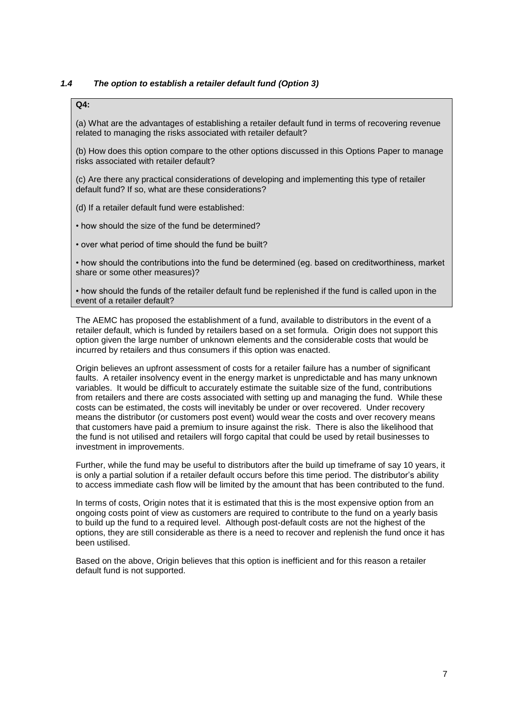# *1.4 The option to establish a retailer default fund (Option 3)*

# **Q4:**

(a) What are the advantages of establishing a retailer default fund in terms of recovering revenue related to managing the risks associated with retailer default?

(b) How does this option compare to the other options discussed in this Options Paper to manage risks associated with retailer default?

(c) Are there any practical considerations of developing and implementing this type of retailer default fund? If so, what are these considerations?

(d) If a retailer default fund were established:

• how should the size of the fund be determined?

• over what period of time should the fund be built?

• how should the contributions into the fund be determined (eg. based on creditworthiness, market share or some other measures)?

• how should the funds of the retailer default fund be replenished if the fund is called upon in the event of a retailer default?

The AEMC has proposed the establishment of a fund, available to distributors in the event of a retailer default, which is funded by retailers based on a set formula. Origin does not support this option given the large number of unknown elements and the considerable costs that would be incurred by retailers and thus consumers if this option was enacted.

Origin believes an upfront assessment of costs for a retailer failure has a number of significant faults. A retailer insolvency event in the energy market is unpredictable and has many unknown variables. It would be difficult to accurately estimate the suitable size of the fund, contributions from retailers and there are costs associated with setting up and managing the fund. While these costs can be estimated, the costs will inevitably be under or over recovered. Under recovery means the distributor (or customers post event) would wear the costs and over recovery means that customers have paid a premium to insure against the risk. There is also the likelihood that the fund is not utilised and retailers will forgo capital that could be used by retail businesses to investment in improvements.

Further, while the fund may be useful to distributors after the build up timeframe of say 10 years, it is only a partial solution if a retailer default occurs before this time period. The distributor's ability to access immediate cash flow will be limited by the amount that has been contributed to the fund.

In terms of costs, Origin notes that it is estimated that this is the most expensive option from an ongoing costs point of view as customers are required to contribute to the fund on a yearly basis to build up the fund to a required level. Although post-default costs are not the highest of the options, they are still considerable as there is a need to recover and replenish the fund once it has been ustilised.

Based on the above, Origin believes that this option is inefficient and for this reason a retailer default fund is not supported.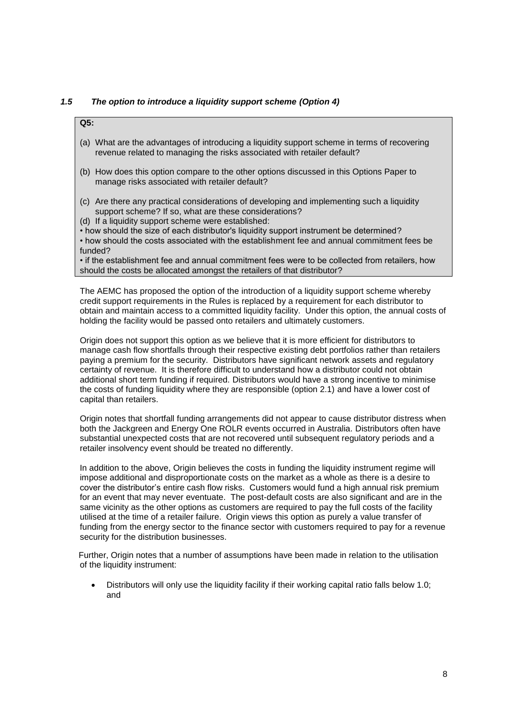## *1.5 The option to introduce a liquidity support scheme (Option 4)*

## **Q5:**

- (a) What are the advantages of introducing a liquidity support scheme in terms of recovering revenue related to managing the risks associated with retailer default?
- (b) How does this option compare to the other options discussed in this Options Paper to manage risks associated with retailer default?
- (c) Are there any practical considerations of developing and implementing such a liquidity support scheme? If so, what are these considerations?
- (d) If a liquidity support scheme were established:

• how should the size of each distributor's liquidity support instrument be determined? • how should the costs associated with the establishment fee and annual commitment fees be funded?

• if the establishment fee and annual commitment fees were to be collected from retailers, how should the costs be allocated amongst the retailers of that distributor?

The AEMC has proposed the option of the introduction of a liquidity support scheme whereby credit support requirements in the Rules is replaced by a requirement for each distributor to obtain and maintain access to a committed liquidity facility. Under this option, the annual costs of holding the facility would be passed onto retailers and ultimately customers.

Origin does not support this option as we believe that it is more efficient for distributors to manage cash flow shortfalls through their respective existing debt portfolios rather than retailers paying a premium for the security. Distributors have significant network assets and regulatory certainty of revenue. It is therefore difficult to understand how a distributor could not obtain additional short term funding if required. Distributors would have a strong incentive to minimise the costs of funding liquidity where they are responsible (option 2.1) and have a lower cost of capital than retailers.

Origin notes that shortfall funding arrangements did not appear to cause distributor distress when both the Jackgreen and Energy One ROLR events occurred in Australia. Distributors often have substantial unexpected costs that are not recovered until subsequent regulatory periods and a retailer insolvency event should be treated no differently.

In addition to the above, Origin believes the costs in funding the liquidity instrument regime will impose additional and disproportionate costs on the market as a whole as there is a desire to cover the distributor's entire cash flow risks. Customers would fund a high annual risk premium for an event that may never eventuate. The post-default costs are also significant and are in the same vicinity as the other options as customers are required to pay the full costs of the facility utilised at the time of a retailer failure. Origin views this option as purely a value transfer of funding from the energy sector to the finance sector with customers required to pay for a revenue security for the distribution businesses.

Further, Origin notes that a number of assumptions have been made in relation to the utilisation of the liquidity instrument:

 Distributors will only use the liquidity facility if their working capital ratio falls below 1.0; and